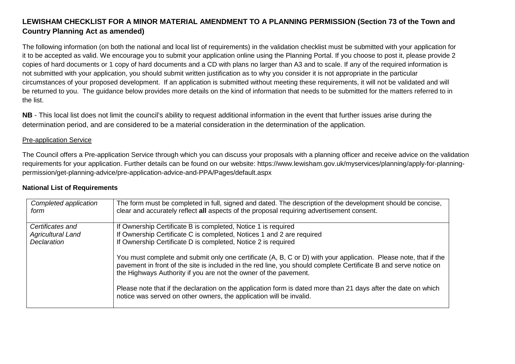# **LEWISHAM CHECKLIST FOR A MINOR MATERIAL AMENDMENT TO A PLANNING PERMISSION (Section 73 of the Town andCountry Planning Act as amended)**

The following information (on both the national and local list of requirements) in the validation checklist must be submitted with your application for it to be accepted as valid. We encourage you to submit your application online using the Planning Portal. If you choose to post it, please provide 2 copies of hard documents or 1 copy of hard documents and a CD with plans no larger than A3 and to scale. If any of the required information is not submitted with your application, you should submit written justification as to why you consider it is not appropriate in the particular circumstances of your proposed development. If an application is submitted without meeting these requirements, it will not be validated and will be returned to you. The guidance below provides more details on the kind of information that needs to be submitted for the matters referred to in the list.

**NB** - This local list does not limit the council's ability to request additional information in the event that further issues arise during the determination period, and are considered to be a material consideration in the determination of the application.

## Pre-application Service

The Council offers a Pre-application Service through which you can discuss your proposals with a planning officer and receive advice on the validation requirements for your application. Further details can be found on our website: https://www.lewisham.gov.uk/myservices/planning/apply-for-planningpermission/get-planning-advice/pre-application-advice-and-PPA/Pages/default.aspx

| Completed application<br>form | The form must be completed in full, signed and dated. The description of the development should be concise,<br>clear and accurately reflect all aspects of the proposal requiring advertisement consent.                                                                                                 |
|-------------------------------|----------------------------------------------------------------------------------------------------------------------------------------------------------------------------------------------------------------------------------------------------------------------------------------------------------|
| Certificates and              | If Ownership Certificate B is completed, Notice 1 is required                                                                                                                                                                                                                                            |
| <b>Agricultural Land</b>      | If Ownership Certificate C is completed, Notices 1 and 2 are required                                                                                                                                                                                                                                    |
| Declaration                   | If Ownership Certificate D is completed, Notice 2 is required                                                                                                                                                                                                                                            |
|                               | You must complete and submit only one certificate (A, B, C or D) with your application. Please note, that if the<br>pavement in front of the site is included in the red line, you should complete Certificate B and serve notice on<br>the Highways Authority if you are not the owner of the pavement. |
|                               | Please note that if the declaration on the application form is dated more than 21 days after the date on which<br>notice was served on other owners, the application will be invalid.                                                                                                                    |

### **National List of Requirements**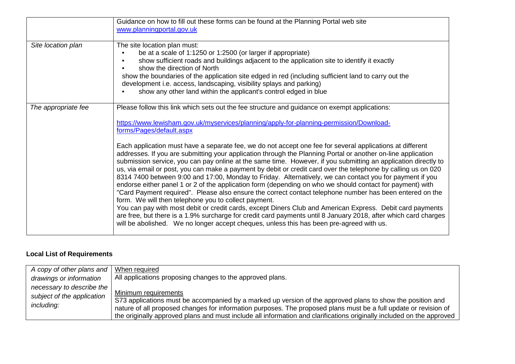|                     | Guidance on how to fill out these forms can be found at the Planning Portal web site<br>www.planningportal.gov.uk                                                                                                                                                                                                                                                                                                                                                                                                                                                                                                                                                                                                                                                                                                                                                                                                                                                                                                                                                                                                                                                                                                                                                                                                                                                                                             |
|---------------------|---------------------------------------------------------------------------------------------------------------------------------------------------------------------------------------------------------------------------------------------------------------------------------------------------------------------------------------------------------------------------------------------------------------------------------------------------------------------------------------------------------------------------------------------------------------------------------------------------------------------------------------------------------------------------------------------------------------------------------------------------------------------------------------------------------------------------------------------------------------------------------------------------------------------------------------------------------------------------------------------------------------------------------------------------------------------------------------------------------------------------------------------------------------------------------------------------------------------------------------------------------------------------------------------------------------------------------------------------------------------------------------------------------------|
| Site location plan  | The site location plan must:<br>be at a scale of 1:1250 or 1:2500 (or larger if appropriate)<br>show sufficient roads and buildings adjacent to the application site to identify it exactly<br>show the direction of North<br>show the boundaries of the application site edged in red (including sufficient land to carry out the<br>development i.e. access, landscaping, visibility splays and parking)<br>show any other land within the applicant's control edged in blue                                                                                                                                                                                                                                                                                                                                                                                                                                                                                                                                                                                                                                                                                                                                                                                                                                                                                                                                |
| The appropriate fee | Please follow this link which sets out the fee structure and guidance on exempt applications:<br>https://www.lewisham.gov.uk/myservices/planning/apply-for-planning-permission/Download-<br>forms/Pages/default.aspx<br>Each application must have a separate fee, we do not accept one fee for several applications at different<br>addresses. If you are submitting your application through the Planning Portal or another on-line application<br>submission service, you can pay online at the same time. However, if you submitting an application directly to<br>us, via email or post, you can make a payment by debit or credit card over the telephone by calling us on 020<br>8314 7400 between 9:00 and 17:00, Monday to Friday. Alternatively, we can contact you for payment if you<br>endorse either panel 1 or 2 of the application form (depending on who we should contact for payment) with<br>"Card Payment required". Please also ensure the correct contact telephone number has been entered on the<br>form. We will then telephone you to collect payment.<br>You can pay with most debit or credit cards, except Diners Club and American Express. Debit card payments<br>are free, but there is a 1.9% surcharge for credit card payments until 8 January 2018, after which card charges<br>will be abolished. We no longer accept cheques, unless this has been pre-agreed with us. |

## **Local List of Requirements**

| A copy of other plans and                                             | When required                                                                                                                                                                                                                                                                                                                                                                   |
|-----------------------------------------------------------------------|---------------------------------------------------------------------------------------------------------------------------------------------------------------------------------------------------------------------------------------------------------------------------------------------------------------------------------------------------------------------------------|
| drawings or information                                               | All applications proposing changes to the approved plans.                                                                                                                                                                                                                                                                                                                       |
| necessary to describe the<br>subject of the application<br>including: | Minimum requirements<br>S73 applications must be accompanied by a marked up version of the approved plans to show the position and<br>nature of all proposed changes for information purposes. The proposed plans must be a full update or revision of<br>the originally approved plans and must include all information and clarifications originally included on the approved |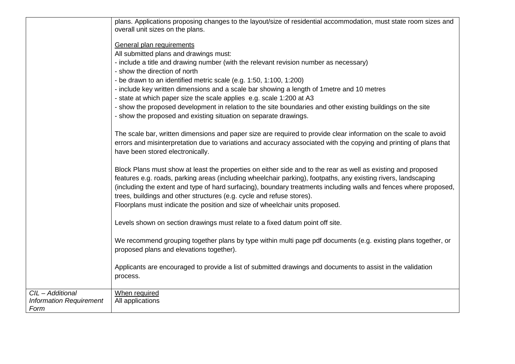|                                | plans. Applications proposing changes to the layout/size of residential accommodation, must state room sizes and                                                                           |
|--------------------------------|--------------------------------------------------------------------------------------------------------------------------------------------------------------------------------------------|
|                                | overall unit sizes on the plans.                                                                                                                                                           |
|                                | General plan requirements                                                                                                                                                                  |
|                                | All submitted plans and drawings must:                                                                                                                                                     |
|                                | - include a title and drawing number (with the relevant revision number as necessary)                                                                                                      |
|                                | - show the direction of north                                                                                                                                                              |
|                                | - be drawn to an identified metric scale (e.g. 1:50, 1:100, 1:200)                                                                                                                         |
|                                | - include key written dimensions and a scale bar showing a length of 1 metre and 10 metres                                                                                                 |
|                                | - state at which paper size the scale applies e.g. scale 1:200 at A3                                                                                                                       |
|                                | - show the proposed development in relation to the site boundaries and other existing buildings on the site                                                                                |
|                                | - show the proposed and existing situation on separate drawings.                                                                                                                           |
|                                | The scale bar, written dimensions and paper size are required to provide clear information on the scale to avoid                                                                           |
|                                | errors and misinterpretation due to variations and accuracy associated with the copying and printing of plans that                                                                         |
|                                | have been stored electronically.                                                                                                                                                           |
|                                |                                                                                                                                                                                            |
|                                | Block Plans must show at least the properties on either side and to the rear as well as existing and proposed                                                                              |
|                                | features e.g. roads, parking areas (including wheelchair parking), footpaths, any existing rivers, landscaping                                                                             |
|                                | (including the extent and type of hard surfacing), boundary treatments including walls and fences where proposed,<br>trees, buildings and other structures (e.g. cycle and refuse stores). |
|                                | Floorplans must indicate the position and size of wheelchair units proposed.                                                                                                               |
|                                |                                                                                                                                                                                            |
|                                | Levels shown on section drawings must relate to a fixed datum point off site.                                                                                                              |
|                                |                                                                                                                                                                                            |
|                                | We recommend grouping together plans by type within multi page pdf documents (e.g. existing plans together, or                                                                             |
|                                | proposed plans and elevations together).                                                                                                                                                   |
|                                |                                                                                                                                                                                            |
|                                | Applicants are encouraged to provide a list of submitted drawings and documents to assist in the validation                                                                                |
|                                | process.                                                                                                                                                                                   |
| CIL - Additional               | When required                                                                                                                                                                              |
| <b>Information Requirement</b> | All applications                                                                                                                                                                           |
| Form                           |                                                                                                                                                                                            |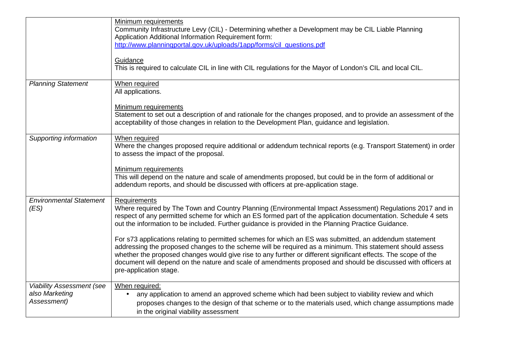|                                                                   | Minimum requirements<br>Community Infrastructure Levy (CIL) - Determining whether a Development may be CIL Liable Planning<br>Application Additional Information Requirement form:<br>http://www.planningportal.gov.uk/uploads/1app/forms/cil_questions.pdf<br>Guidance<br>This is required to calculate CIL in line with CIL regulations for the Mayor of London's CIL and local CIL.                                                                                           |
|-------------------------------------------------------------------|----------------------------------------------------------------------------------------------------------------------------------------------------------------------------------------------------------------------------------------------------------------------------------------------------------------------------------------------------------------------------------------------------------------------------------------------------------------------------------|
| <b>Planning Statement</b>                                         | When required<br>All applications.                                                                                                                                                                                                                                                                                                                                                                                                                                               |
|                                                                   | Minimum requirements<br>Statement to set out a description of and rationale for the changes proposed, and to provide an assessment of the<br>acceptability of those changes in relation to the Development Plan, guidance and legislation.                                                                                                                                                                                                                                       |
| Supporting information                                            | When required<br>Where the changes proposed require additional or addendum technical reports (e.g. Transport Statement) in order<br>to assess the impact of the proposal.                                                                                                                                                                                                                                                                                                        |
|                                                                   | Minimum requirements<br>This will depend on the nature and scale of amendments proposed, but could be in the form of additional or<br>addendum reports, and should be discussed with officers at pre-application stage.                                                                                                                                                                                                                                                          |
| <b>Environmental Statement</b><br>(ES)                            | <b>Requirements</b><br>Where required by The Town and Country Planning (Environmental Impact Assessment) Regulations 2017 and in<br>respect of any permitted scheme for which an ES formed part of the application documentation. Schedule 4 sets<br>out the information to be included. Further guidance is provided in the Planning Practice Guidance.                                                                                                                         |
|                                                                   | For s73 applications relating to permitted schemes for which an ES was submitted, an addendum statement<br>addressing the proposed changes to the scheme will be required as a minimum. This statement should assess<br>whether the proposed changes would give rise to any further or different significant effects. The scope of the<br>document will depend on the nature and scale of amendments proposed and should be discussed with officers at<br>pre-application stage. |
| <b>Viability Assessment (see</b><br>also Marketing<br>Assessment) | When required:<br>any application to amend an approved scheme which had been subject to viability review and which<br>$\bullet$<br>proposes changes to the design of that scheme or to the materials used, which change assumptions made<br>in the original viability assessment                                                                                                                                                                                                 |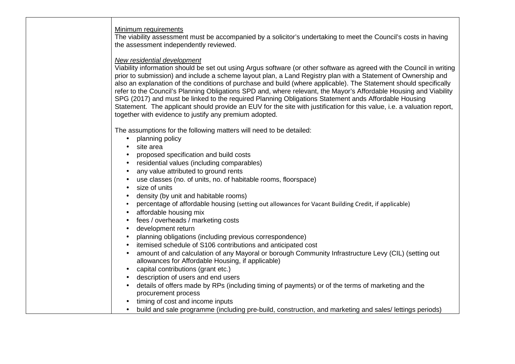### Minimum requirements

 The viability assessment must be accompanied by a solicitor's undertaking to meet the Council's costs in having the assessment independently reviewed.

### New residential development

 Viability information should be set out using Argus software (or other software as agreed with the Council in writing prior to submission) and include a scheme layout plan, a Land Registry plan with a Statement of Ownership and also an explanation of the conditions of purchase and build (where applicable). The Statement should specifically refer to the Council's Planning Obligations SPD and, where relevant, the Mayor's Affordable Housing and Viability SPG (2017) and must be linked to the required Planning Obligations Statement ands Affordable Housing Statement. The applicant should provide an EUV for the site with justification for this value, i.e. a valuation report, together with evidence to justify any premium adopted.

The assumptions for the following matters will need to be detailed:

- planning policy
- site area
- proposed specification and build costs
- residential values (including comparables)
- any value attributed to ground rents
- use classes (no. of units, no. of habitable rooms, floorspace)
- size of units
- density (by unit and habitable rooms)
- percentage of affordable housing (setting out allowances for Vacant Building Credit, if applicable) •
- affordable housing mix
- fees / overheads / marketing costs
- development return
- planning obligations (including previous correspondence)
- itemised schedule of S106 contributions and anticipated cost
- amount of and calculation of any Mayoral or borough Community Infrastructure Levy (CIL) (setting out allowances for Affordable Housing, if applicable)
- capital contributions (grant etc.)
- description of users and end users
- details of offers made by RPs (including timing of payments) or of the terms of marketing and the procurement process
- timing of cost and income inputs
- build and sale programme (including pre-build, construction, and marketing and sales/ lettings periods)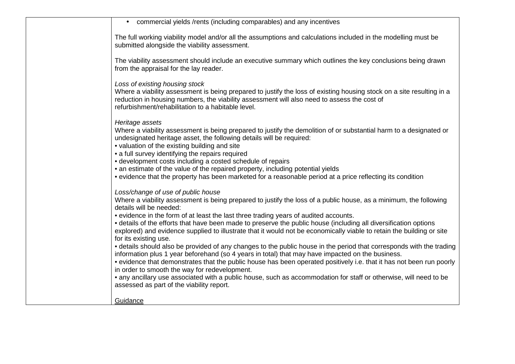| • commercial yields /rents (including comparables) and any incentives                                                                                                                                                                                                                                                                                                                                                                                                                                                                                                             |
|-----------------------------------------------------------------------------------------------------------------------------------------------------------------------------------------------------------------------------------------------------------------------------------------------------------------------------------------------------------------------------------------------------------------------------------------------------------------------------------------------------------------------------------------------------------------------------------|
| The full working viability model and/or all the assumptions and calculations included in the modelling must be<br>submitted alongside the viability assessment.                                                                                                                                                                                                                                                                                                                                                                                                                   |
| The viability assessment should include an executive summary which outlines the key conclusions being drawn<br>from the appraisal for the lay reader.                                                                                                                                                                                                                                                                                                                                                                                                                             |
| Loss of existing housing stock<br>Where a viability assessment is being prepared to justify the loss of existing housing stock on a site resulting in a<br>reduction in housing numbers, the viability assessment will also need to assess the cost of<br>refurbishment/rehabilitation to a habitable level.                                                                                                                                                                                                                                                                      |
| Heritage assets<br>Where a viability assessment is being prepared to justify the demolition of or substantial harm to a designated or<br>undesignated heritage asset, the following details will be required:<br>• valuation of the existing building and site<br>• a full survey identifying the repairs required<br>• development costs including a costed schedule of repairs<br>• an estimate of the value of the repaired property, including potential yields<br>• evidence that the property has been marketed for a reasonable period at a price reflecting its condition |
| Loss/change of use of public house<br>Where a viability assessment is being prepared to justify the loss of a public house, as a minimum, the following<br>details will be needed:                                                                                                                                                                                                                                                                                                                                                                                                |
| • evidence in the form of at least the last three trading years of audited accounts.<br>• details of the efforts that have been made to preserve the public house (including all diversification options<br>explored) and evidence supplied to illustrate that it would not be economically viable to retain the building or site<br>for its existing use.                                                                                                                                                                                                                        |
| • details should also be provided of any changes to the public house in the period that corresponds with the trading<br>information plus 1 year beforehand (so 4 years in total) that may have impacted on the business.                                                                                                                                                                                                                                                                                                                                                          |
| • evidence that demonstrates that the public house has been operated positively i.e. that it has not been run poorly<br>in order to smooth the way for redevelopment.<br>• any ancillary use associated with a public house, such as accommodation for staff or otherwise, will need to be                                                                                                                                                                                                                                                                                        |
| assessed as part of the viability report.                                                                                                                                                                                                                                                                                                                                                                                                                                                                                                                                         |
| Guidance                                                                                                                                                                                                                                                                                                                                                                                                                                                                                                                                                                          |